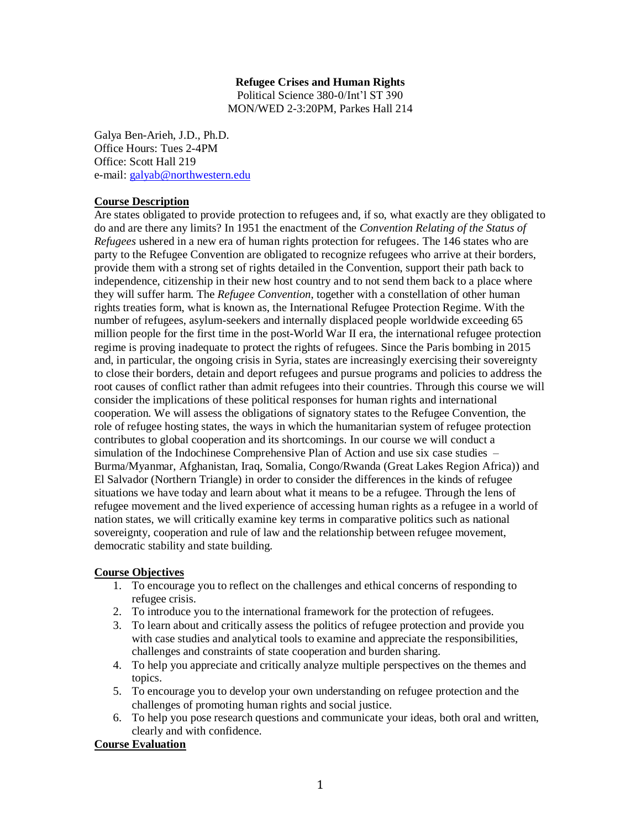### **Refugee Crises and Human Rights**

Political Science 380-0/Int'l ST 390 MON/WED 2-3:20PM, Parkes Hall 214

Galya Ben-Arieh, J.D., Ph.D. Office Hours: Tues 2-4PM Office: Scott Hall 219 e-mail: [galyab@northwestern.edu](mailto:galyab@northwestern.edu)

### **Course Description**

Are states obligated to provide protection to refugees and, if so, what exactly are they obligated to do and are there any limits? In 1951 the enactment of the *Convention Relating of the Status of Refugees* ushered in a new era of human rights protection for refugees. The 146 states who are party to the Refugee Convention are obligated to recognize refugees who arrive at their borders, provide them with a strong set of rights detailed in the Convention, support their path back to independence, citizenship in their new host country and to not send them back to a place where they will suffer harm. The *Refugee Convention*, together with a constellation of other human rights treaties form, what is known as, the International Refugee Protection Regime. With the number of refugees, asylum-seekers and internally displaced people worldwide exceeding 65 million people for the first time in the post-World War II era, the international refugee protection regime is proving inadequate to protect the rights of refugees. Since the Paris bombing in 2015 and, in particular, the ongoing crisis in Syria, states are increasingly exercising their sovereignty to close their borders, detain and deport refugees and pursue programs and policies to address the root causes of conflict rather than admit refugees into their countries. Through this course we will consider the implications of these political responses for human rights and international cooperation. We will assess the obligations of signatory states to the Refugee Convention, the role of refugee hosting states, the ways in which the humanitarian system of refugee protection contributes to global cooperation and its shortcomings. In our course we will conduct a simulation of the Indochinese Comprehensive Plan of Action and use six case studies – Burma/Myanmar, Afghanistan, Iraq, Somalia, Congo/Rwanda (Great Lakes Region Africa)) and El Salvador (Northern Triangle) in order to consider the differences in the kinds of refugee situations we have today and learn about what it means to be a refugee. Through the lens of refugee movement and the lived experience of accessing human rights as a refugee in a world of nation states, we will critically examine key terms in comparative politics such as national sovereignty, cooperation and rule of law and the relationship between refugee movement, democratic stability and state building.

## **Course Objectives**

- 1. To encourage you to reflect on the challenges and ethical concerns of responding to refugee crisis.
- 2. To introduce you to the international framework for the protection of refugees.
- 3. To learn about and critically assess the politics of refugee protection and provide you with case studies and analytical tools to examine and appreciate the responsibilities, challenges and constraints of state cooperation and burden sharing.
- 4. To help you appreciate and critically analyze multiple perspectives on the themes and topics.
- 5. To encourage you to develop your own understanding on refugee protection and the challenges of promoting human rights and social justice.
- 6. To help you pose research questions and communicate your ideas, both oral and written, clearly and with confidence.

## **Course Evaluation**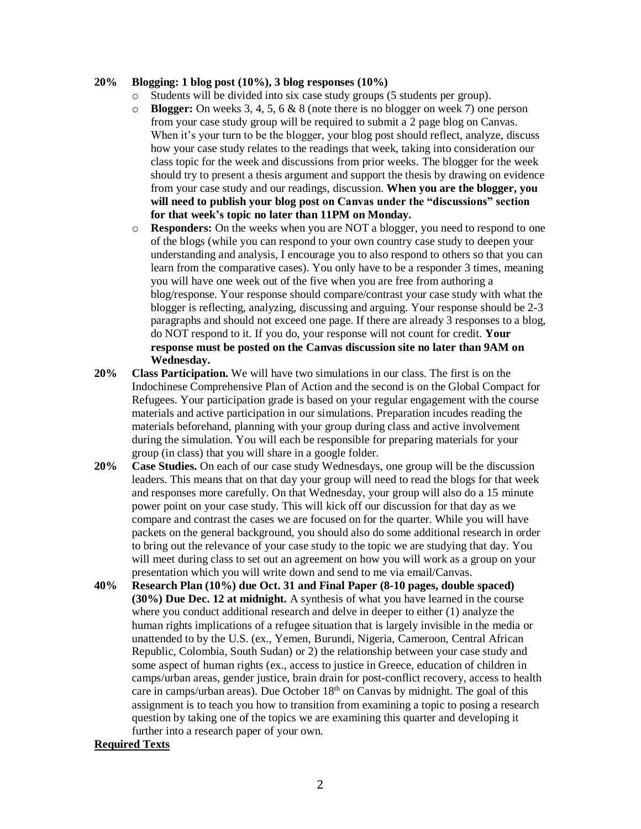#### **20% Blogging: 1 blog post (10%), 3 blog responses (10%)**

- o Students will be divided into six case study groups (5 students per group).
- o **Blogger:** On weeks 3, 4, 5, 6 & 8 (note there is no blogger on week 7) one person from your case study group will be required to submit a 2 page blog on Canvas. When it's your turn to be the blogger, your blog post should reflect, analyze, discuss how your case study relates to the readings that week, taking into consideration our class topic for the week and discussions from prior weeks. The blogger for the week should try to present a thesis argument and support the thesis by drawing on evidence from your case study and our readings, discussion. **When you are the blogger, you will need to publish your blog post on Canvas under the "discussions" section for that week's topic no later than 11PM on Monday.**
- o **Responders:** On the weeks when you are NOT a blogger, you need to respond to one of the blogs (while you can respond to your own country case study to deepen your understanding and analysis, I encourage you to also respond to others so that you can learn from the comparative cases). You only have to be a responder 3 times, meaning you will have one week out of the five when you are free from authoring a blog/response. Your response should compare/contrast your case study with what the blogger is reflecting, analyzing, discussing and arguing. Your response should be 2-3 paragraphs and should not exceed one page. If there are already 3 responses to a blog, do NOT respond to it. If you do, your response will not count for credit. **Your response must be posted on the Canvas discussion site no later than 9AM on Wednesday.**
- **20% Class Participation.** We will have two simulations in our class. The first is on the Indochinese Comprehensive Plan of Action and the second is on the Global Compact for Refugees. Your participation grade is based on your regular engagement with the course materials and active participation in our simulations. Preparation incudes reading the materials beforehand, planning with your group during class and active involvement during the simulation. You will each be responsible for preparing materials for your group (in class) that you will share in a google folder.
- **20% Case Studies.** On each of our case study Wednesdays, one group will be the discussion leaders. This means that on that day your group will need to read the blogs for that week and responses more carefully. On that Wednesday, your group will also do a 15 minute power point on your case study. This will kick off our discussion for that day as we compare and contrast the cases we are focused on for the quarter. While you will have packets on the general background, you should also do some additional research in order to bring out the relevance of your case study to the topic we are studying that day. You will meet during class to set out an agreement on how you will work as a group on your presentation which you will write down and send to me via email/Canvas.
- **40% Research Plan (10%) due Oct. 31 and Final Paper (8-10 pages, double spaced) (30%) Due Dec. 12 at midnight.** A synthesis of what you have learned in the course where you conduct additional research and delve in deeper to either (1) analyze the human rights implications of a refugee situation that is largely invisible in the media or unattended to by the U.S. (ex., Yemen, Burundi, Nigeria, Cameroon, Central African Republic, Colombia, South Sudan) or 2) the relationship between your case study and some aspect of human rights (ex., access to justice in Greece, education of children in camps/urban areas, gender justice, brain drain for post-conflict recovery, access to health care in camps/urban areas). Due October  $18<sup>th</sup>$  on Canvas by midnight. The goal of this assignment is to teach you how to transition from examining a topic to posing a research question by taking one of the topics we are examining this quarter and developing it further into a research paper of your own.

#### **Required Texts**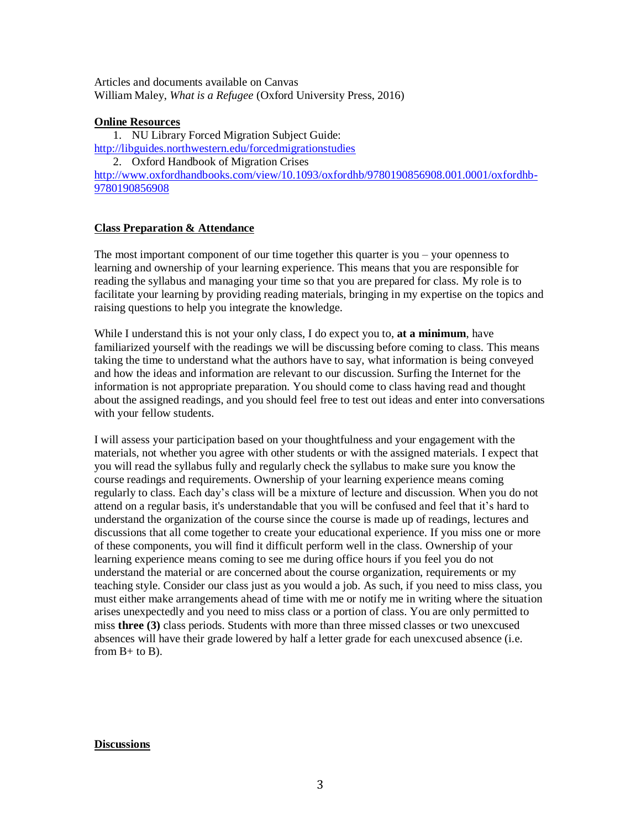Articles and documents available on Canvas William Maley, *What is a Refugee* (Oxford University Press, 2016)

## **Online Resources**

1. NU Library Forced Migration Subject Guide: <http://libguides.northwestern.edu/forcedmigrationstudies> 2. Oxford Handbook of Migration Crises [http://www.oxfordhandbooks.com/view/10.1093/oxfordhb/9780190856908.001.0001/oxfordhb-](http://www.oxfordhandbooks.com/view/10.1093/oxfordhb/9780190856908.001.0001/oxfordhb-9780190856908)[9780190856908](http://www.oxfordhandbooks.com/view/10.1093/oxfordhb/9780190856908.001.0001/oxfordhb-9780190856908)

## **Class Preparation & Attendance**

The most important component of our time together this quarter is you – your openness to learning and ownership of your learning experience. This means that you are responsible for reading the syllabus and managing your time so that you are prepared for class. My role is to facilitate your learning by providing reading materials, bringing in my expertise on the topics and raising questions to help you integrate the knowledge.

While I understand this is not your only class, I do expect you to, **at a minimum**, have familiarized yourself with the readings we will be discussing before coming to class. This means taking the time to understand what the authors have to say, what information is being conveyed and how the ideas and information are relevant to our discussion. Surfing the Internet for the information is not appropriate preparation. You should come to class having read and thought about the assigned readings, and you should feel free to test out ideas and enter into conversations with your fellow students.

I will assess your participation based on your thoughtfulness and your engagement with the materials, not whether you agree with other students or with the assigned materials. I expect that you will read the syllabus fully and regularly check the syllabus to make sure you know the course readings and requirements. Ownership of your learning experience means coming regularly to class. Each day's class will be a mixture of lecture and discussion. When you do not attend on a regular basis, it's understandable that you will be confused and feel that it's hard to understand the organization of the course since the course is made up of readings, lectures and discussions that all come together to create your educational experience. If you miss one or more of these components, you will find it difficult perform well in the class. Ownership of your learning experience means coming to see me during office hours if you feel you do not understand the material or are concerned about the course organization, requirements or my teaching style. Consider our class just as you would a job. As such, if you need to miss class, you must either make arrangements ahead of time with me or notify me in writing where the situation arises unexpectedly and you need to miss class or a portion of class. You are only permitted to miss **three (3)** class periods. Students with more than three missed classes or two unexcused absences will have their grade lowered by half a letter grade for each unexcused absence (i.e. from  $B+$  to  $B$ ).

#### **Discussions**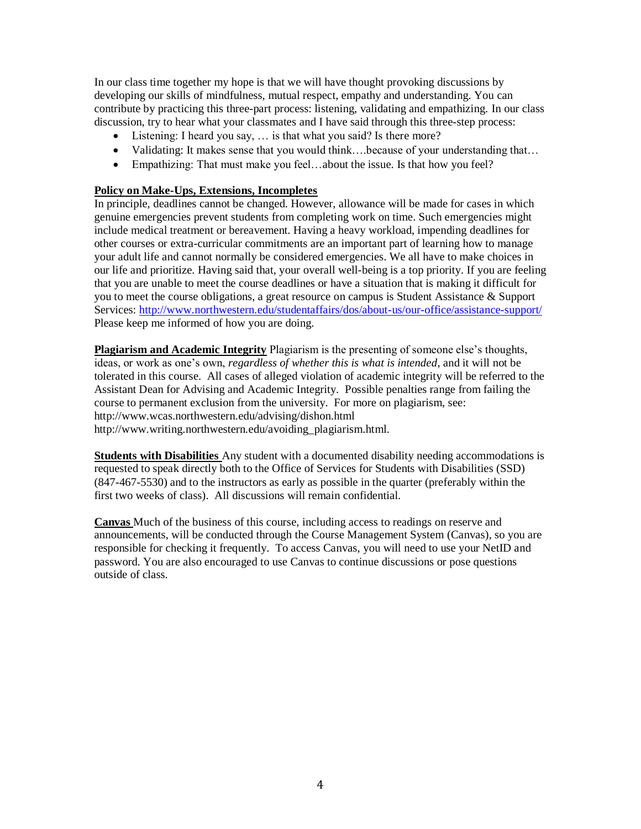In our class time together my hope is that we will have thought provoking discussions by developing our skills of mindfulness, mutual respect, empathy and understanding. You can contribute by practicing this three-part process: listening, validating and empathizing. In our class discussion, try to hear what your classmates and I have said through this three-step process:

- Listening: I heard you say, ... is that what you said? Is there more?
- Validating: It makes sense that you would think....because of your understanding that...
- Empathizing: That must make you feel...about the issue. Is that how you feel?

### **Policy on Make-Ups, Extensions, Incompletes**

In principle, deadlines cannot be changed. However, allowance will be made for cases in which genuine emergencies prevent students from completing work on time. Such emergencies might include medical treatment or bereavement. Having a heavy workload, impending deadlines for other courses or extra-curricular commitments are an important part of learning how to manage your adult life and cannot normally be considered emergencies. We all have to make choices in our life and prioritize. Having said that, your overall well-being is a top priority. If you are feeling that you are unable to meet the course deadlines or have a situation that is making it difficult for you to meet the course obligations, a great resource on campus is Student Assistance & Support Services:<http://www.northwestern.edu/studentaffairs/dos/about-us/our-office/assistance-support/> Please keep me informed of how you are doing.

**Plagiarism and Academic Integrity** Plagiarism is the presenting of someone else's thoughts, ideas, or work as one's own, *regardless of whether this is what is intended*, and it will not be tolerated in this course. All cases of alleged violation of academic integrity will be referred to the Assistant Dean for Advising and Academic Integrity. Possible penalties range from failing the course to permanent exclusion from the university. For more on plagiarism, see: http://www.wcas.northwestern.edu/advising/dishon.html http://www.writing.northwestern.edu/avoiding\_plagiarism.html.

**Students with Disabilities** Any student with a documented disability needing accommodations is requested to speak directly both to the Office of Services for Students with Disabilities (SSD) (847-467-5530) and to the instructors as early as possible in the quarter (preferably within the first two weeks of class). All discussions will remain confidential.

**Canvas** Much of the business of this course, including access to readings on reserve and announcements, will be conducted through the Course Management System (Canvas), so you are responsible for checking it frequently. To access Canvas, you will need to use your NetID and password. You are also encouraged to use Canvas to continue discussions or pose questions outside of class.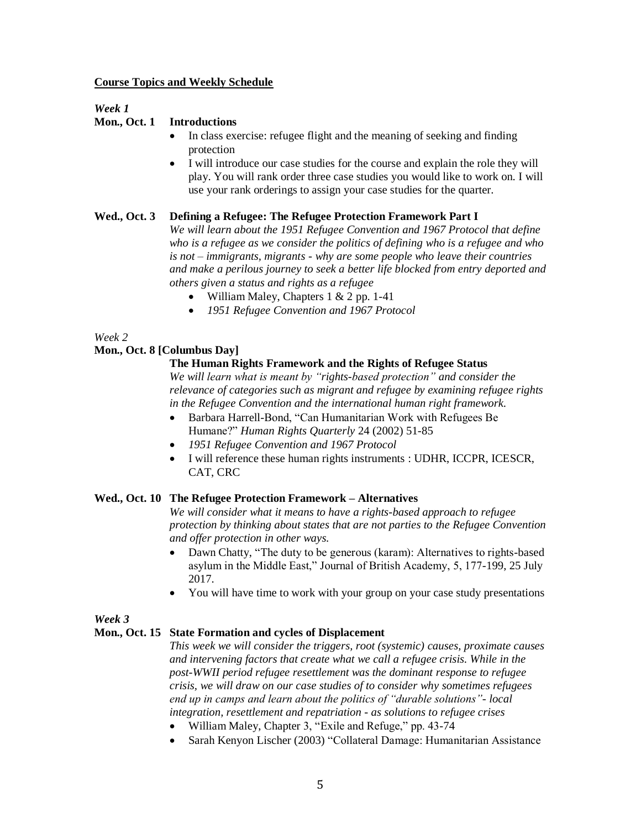#### **Course Topics and Weekly Schedule**

## *Week 1*

## **Mon., Oct. 1 Introductions**

- In class exercise: refugee flight and the meaning of seeking and finding protection
- I will introduce our case studies for the course and explain the role they will play. You will rank order three case studies you would like to work on. I will use your rank orderings to assign your case studies for the quarter.

## **Wed., Oct. 3 Defining a Refugee: The Refugee Protection Framework Part I**

*We will learn about the 1951 Refugee Convention and 1967 Protocol that define who is a refugee as we consider the politics of defining who is a refugee and who is not – immigrants, migrants - why are some people who leave their countries and make a perilous journey to seek a better life blocked from entry deported and others given a status and rights as a refugee*

- William Maley, Chapters  $1 \& 2$  pp. 1-41
- *1951 Refugee Convention and 1967 Protocol*

### *Week 2*

### **Mon., Oct. 8 [Columbus Day]**

### **The Human Rights Framework and the Rights of Refugee Status**

*We will learn what is meant by "rights-based protection" and consider the relevance of categories such as migrant and refugee by examining refugee rights in the Refugee Convention and the international human right framework.*

- Barbara Harrell-Bond, "Can Humanitarian Work with Refugees Be Humane?" *Human Rights Quarterly* 24 (2002) 51-85
- *1951 Refugee Convention and 1967 Protocol*
- I will reference these human rights instruments : UDHR, ICCPR, ICESCR, CAT, CRC

#### **Wed., Oct. 10 The Refugee Protection Framework – Alternatives**

*We will consider what it means to have a rights-based approach to refugee protection by thinking about states that are not parties to the Refugee Convention and offer protection in other ways.* 

- Dawn Chatty, "The duty to be generous (karam): Alternatives to rights-based asylum in the Middle East," Journal of British Academy, 5, 177-199, 25 July 2017.
- You will have time to work with your group on your case study presentations

## *Week 3*

## **Mon., Oct. 15 State Formation and cycles of Displacement**

*This week we will consider the triggers, root (systemic) causes, proximate causes and intervening factors that create what we call a refugee crisis. While in the post-WWII period refugee resettlement was the dominant response to refugee crisis, we will draw on our case studies of to consider why sometimes refugees end up in camps and learn about the politics of "durable solutions"- local integration, resettlement and repatriation - as solutions to refugee crises*

- William Maley, Chapter 3, "Exile and Refuge," pp. 43-74
- Sarah Kenyon Lischer (2003) "Collateral Damage: Humanitarian Assistance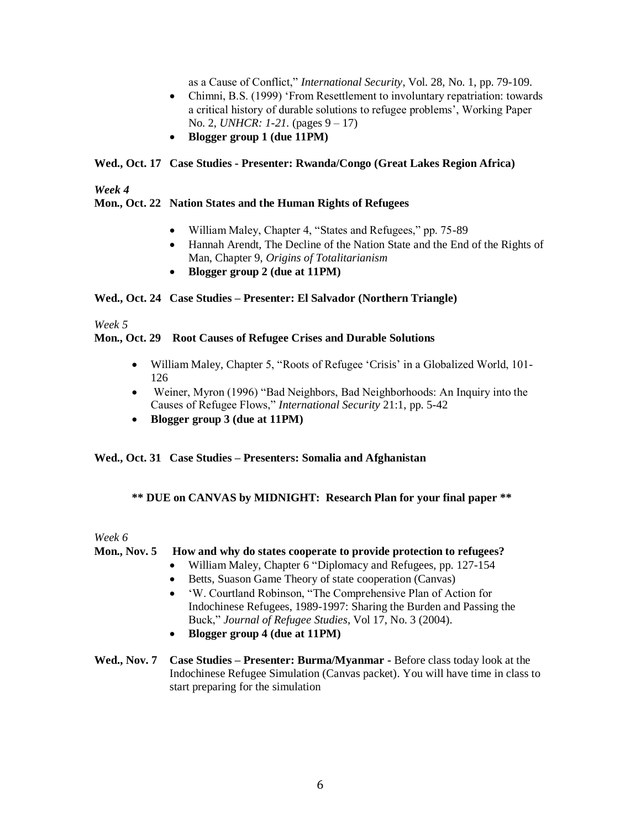as a Cause of Conflict," *International Security*, Vol. 28, No. 1, pp. 79-109.

- Chimni, B.S. (1999) 'From Resettlement to involuntary repatriation: towards a critical history of durable solutions to refugee problems', Working Paper No. 2, *UNHCR: 1-21.* (pages 9 – 17)
- **Blogger group 1 (due 11PM)**

### **Wed., Oct. 17 Case Studies - Presenter: Rwanda/Congo (Great Lakes Region Africa)**

*Week 4*

### **Mon., Oct. 22 Nation States and the Human Rights of Refugees**

- William Maley, Chapter 4, "States and Refugees," pp. 75-89
- Hannah Arendt, The Decline of the Nation State and the End of the Rights of Man, Chapter 9, *Origins of Totalitarianism*
- **Blogger group 2 (due at 11PM)**

### **Wed., Oct. 24 Case Studies – Presenter: El Salvador (Northern Triangle)**

*Week 5*

### **Mon., Oct. 29 Root Causes of Refugee Crises and Durable Solutions**

- William Maley, Chapter 5, "Roots of Refugee 'Crisis' in a Globalized World, 101- 126
- Weiner, Myron (1996) "Bad Neighbors, Bad Neighborhoods: An Inquiry into the Causes of Refugee Flows," *International Security* 21:1, pp. 5-42
- **Blogger group 3 (due at 11PM)**

## **Wed., Oct. 31 Case Studies – Presenters: Somalia and Afghanistan**

## **\*\* DUE on CANVAS by MIDNIGHT: Research Plan for your final paper \*\***

### *Week 6*

## **Mon., Nov. 5 How and why do states cooperate to provide protection to refugees?**

- William Maley, Chapter 6 "Diplomacy and Refugees, pp. 127-154
	- Betts, Suason Game Theory of state cooperation (Canvas)
	- 'W. Courtland Robinson, "The Comprehensive Plan of Action for Indochinese Refugees, 1989-1997: Sharing the Burden and Passing the Buck," *Journal of Refugee Studies*, Vol 17, No. 3 (2004).
	- **Blogger group 4 (due at 11PM)**
- **Wed., Nov. 7 Case Studies – Presenter: Burma/Myanmar -** Before class today look at the Indochinese Refugee Simulation (Canvas packet). You will have time in class to start preparing for the simulation